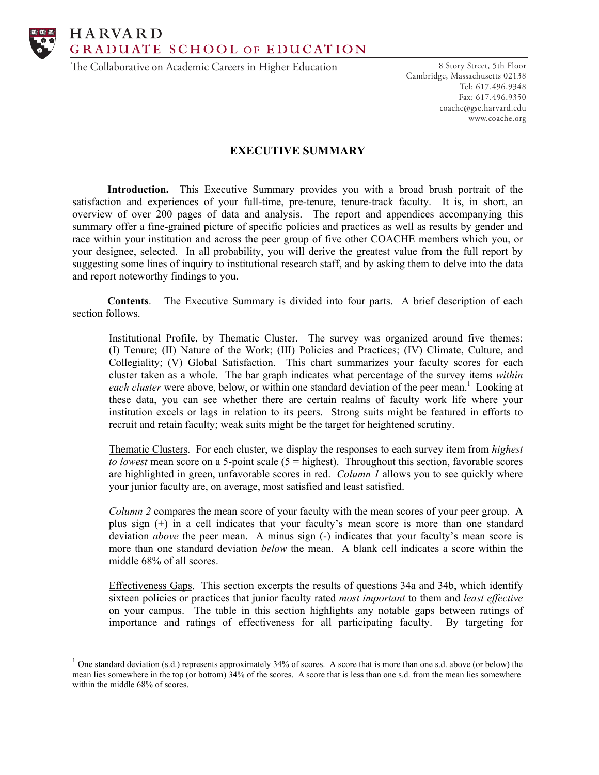**HARVARD** GRADUATE SCHOOL OF EDUCATION

The Collaborative on Academic Careers in Higher Education

8 Story Street, 5th Floor Cambridge, Massachusetts 02138 Tel: 617.496.9348 Fax: 617.496.9350 coache@gse.harvard.edu www.coache.org

# **EXECUTIVE SUMMARY**

**Introduction.** This Executive Summary provides you with a broad brush portrait of the satisfaction and experiences of your full-time, pre-tenure, tenure-track faculty. It is, in short, an overview of over 200 pages of data and analysis. The report and appendices accompanying this summary offer a fine-grained picture of specific policies and practices as well as results by gender and race within your institution and across the peer group of five other COACHE members which you, or your designee, selected. In all probability, you will derive the greatest value from the full report by suggesting some lines of inquiry to institutional research staff, and by asking them to delve into the data and report noteworthy findings to you.

**Contents**. The Executive Summary is divided into four parts. A brief description of each section follows.

Institutional Profile, by Thematic Cluster. The survey was organized around five themes: (I) Tenure; (II) Nature of the Work; (III) Policies and Practices; (IV) Climate, Culture, and Collegiality; (V) Global Satisfaction. This chart summarizes your faculty scores for each cluster taken as a whole. The bar graph indicates what percentage of the survey items *within*  each cluster were above, below, or within one standard deviation of the peer mean.<sup>1</sup> Looking at these data, you can see whether there are certain realms of faculty work life where your institution excels or lags in relation to its peers. Strong suits might be featured in efforts to recruit and retain faculty; weak suits might be the target for heightened scrutiny.

Thematic Clusters. For each cluster, we display the responses to each survey item from *highest to lowest* mean score on a 5-point scale (5 = highest). Throughout this section, favorable scores are highlighted in green, unfavorable scores in red. *Column 1* allows you to see quickly where your junior faculty are, on average, most satisfied and least satisfied.

*Column 2* compares the mean score of your faculty with the mean scores of your peer group. A plus sign (+) in a cell indicates that your faculty's mean score is more than one standard deviation *above* the peer mean. A minus sign (-) indicates that your faculty's mean score is more than one standard deviation *below* the mean. A blank cell indicates a score within the middle 68% of all scores.

Effectiveness Gaps. This section excerpts the results of questions 34a and 34b, which identify sixteen policies or practices that junior faculty rated *most important* to them and *least effective* on your campus. The table in this section highlights any notable gaps between ratings of importance and ratings of effectiveness for all participating faculty. By targeting for

 $1$  One standard deviation (s.d.) represents approximately 34% of scores. A score that is more than one s.d. above (or below) the mean lies somewhere in the top (or bottom) 34% of the scores. A score that is less than one s.d. from the mean lies somewhere within the middle 68% of scores.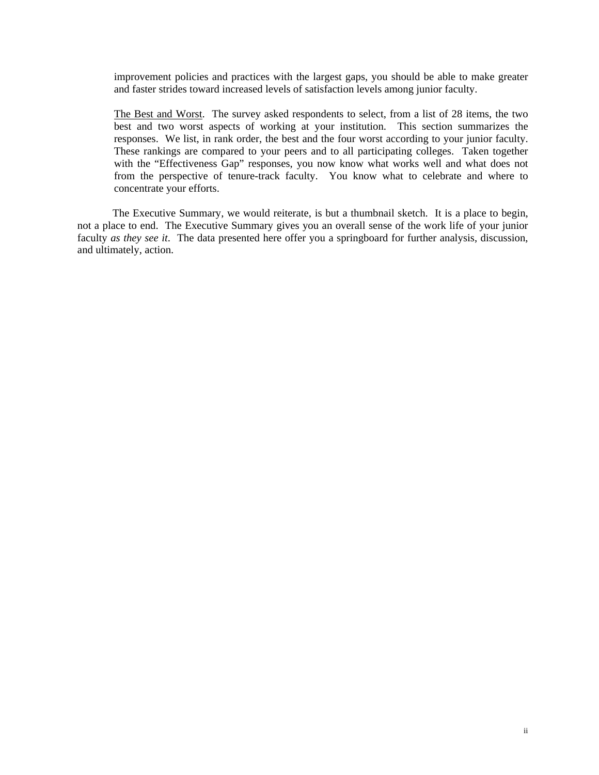improvement policies and practices with the largest gaps, you should be able to make greater and faster strides toward increased levels of satisfaction levels among junior faculty.

The Best and Worst. The survey asked respondents to select, from a list of 28 items, the two best and two worst aspects of working at your institution. This section summarizes the responses. We list, in rank order, the best and the four worst according to your junior faculty. These rankings are compared to your peers and to all participating colleges. Taken together with the "Effectiveness Gap" responses, you now know what works well and what does not from the perspective of tenure-track faculty. You know what to celebrate and where to concentrate your efforts.

 The Executive Summary, we would reiterate, is but a thumbnail sketch. It is a place to begin, not a place to end. The Executive Summary gives you an overall sense of the work life of your junior faculty *as they see it*. The data presented here offer you a springboard for further analysis, discussion, and ultimately, action.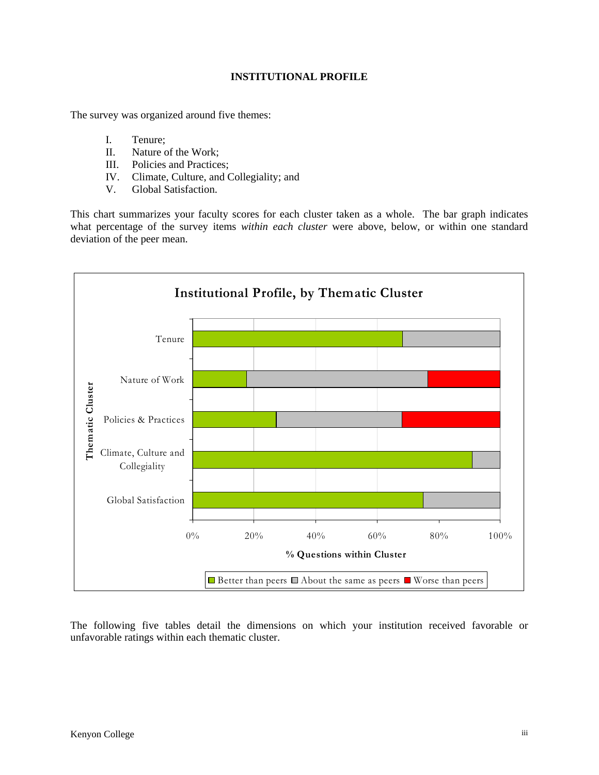## **INSTITUTIONAL PROFILE**

The survey was organized around five themes:

- I. Tenure;
- II. Nature of the Work;
- III. Policies and Practices;
- IV. Climate, Culture, and Collegiality; and
- V. Global Satisfaction.

This chart summarizes your faculty scores for each cluster taken as a whole. The bar graph indicates what percentage of the survey items *within each cluster* were above, below, or within one standard deviation of the peer mean.



The following five tables detail the dimensions on which your institution received favorable or unfavorable ratings within each thematic cluster.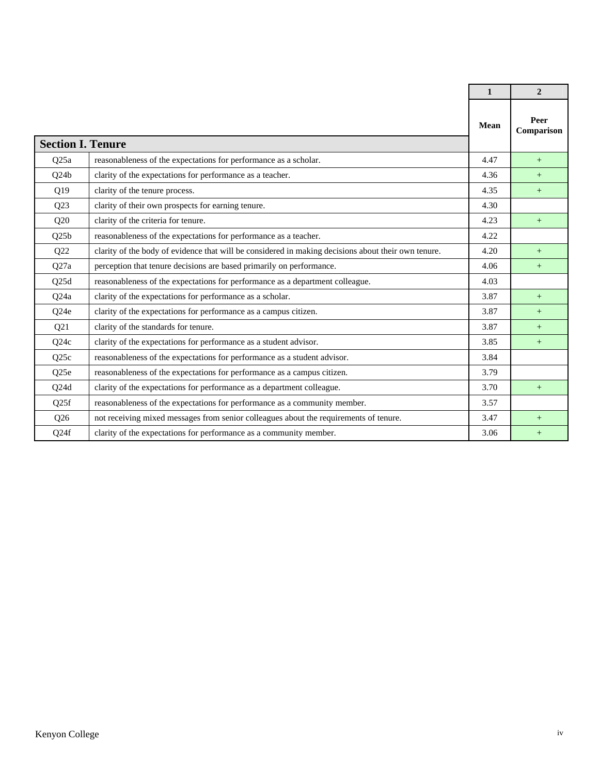|                          |                                                                                                     | $\mathbf{1}$ | $\overline{2}$     |
|--------------------------|-----------------------------------------------------------------------------------------------------|--------------|--------------------|
| <b>Section I. Tenure</b> |                                                                                                     | Mean         | Peer<br>Comparison |
| Q <sub>25</sub> a        | reasonableness of the expectations for performance as a scholar.                                    | 4.47         | $+$                |
| Q24b                     | clarity of the expectations for performance as a teacher.                                           | 4.36         | $+$                |
| Q19                      | clarity of the tenure process.                                                                      | 4.35         | $^{+}$             |
| Q23                      | clarity of their own prospects for earning tenure.                                                  | 4.30         |                    |
| Q20                      | clarity of the criteria for tenure.                                                                 | 4.23         | $+$                |
| Q25b                     | reasonableness of the expectations for performance as a teacher.                                    | 4.22         |                    |
| Q22                      | clarity of the body of evidence that will be considered in making decisions about their own tenure. | 4.20         | $+$                |
| Q27a                     | perception that tenure decisions are based primarily on performance.                                | 4.06         | $+$                |
| Q25d                     | reasonableness of the expectations for performance as a department colleague.                       | 4.03         |                    |
| Q24a                     | clarity of the expectations for performance as a scholar.                                           | 3.87         | $^{+}$             |
| Q <sub>24e</sub>         | clarity of the expectations for performance as a campus citizen.                                    | 3.87         | $+$                |
| Q21                      | clarity of the standards for tenure.                                                                | 3.87         | $+$                |
| Q24c                     | clarity of the expectations for performance as a student advisor.                                   | 3.85         | $+$                |
| Q <sub>25c</sub>         | reasonableness of the expectations for performance as a student advisor.                            | 3.84         |                    |
| Q25e                     | reasonableness of the expectations for performance as a campus citizen.                             | 3.79         |                    |
| Q24d                     | clarity of the expectations for performance as a department colleague.                              | 3.70         | $+$                |
| Q <sub>25f</sub>         | reasonableness of the expectations for performance as a community member.                           | 3.57         |                    |
| Q26                      | not receiving mixed messages from senior colleagues about the requirements of tenure.               | 3.47         | $+$                |
| Q <sub>24f</sub>         | clarity of the expectations for performance as a community member.                                  | 3.06         | $+$                |

 $\mathbf{r}$ 

h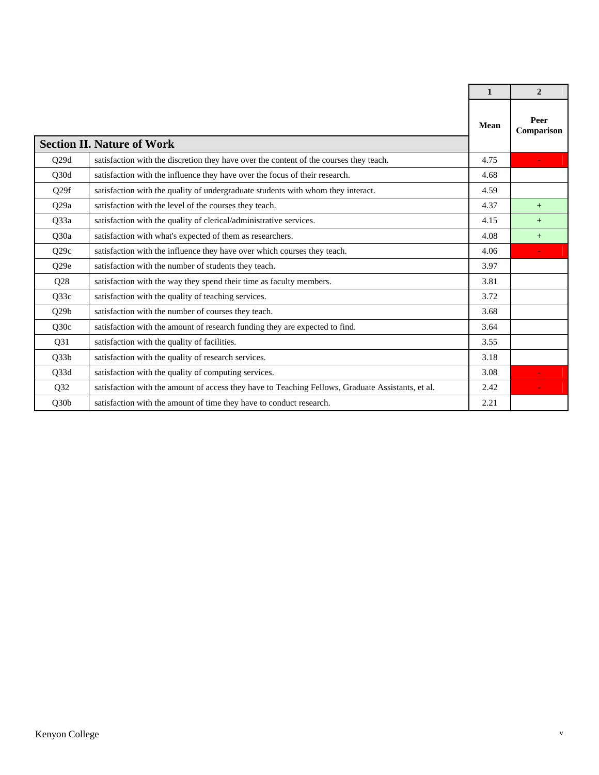|                  |                                                                                                   | $\mathbf{1}$ | $\overline{2}$     |
|------------------|---------------------------------------------------------------------------------------------------|--------------|--------------------|
|                  | <b>Section II. Nature of Work</b>                                                                 | <b>Mean</b>  | Peer<br>Comparison |
| Q29d             | satisfaction with the discretion they have over the content of the courses they teach.            | 4.75         |                    |
| Q30d             | satisfaction with the influence they have over the focus of their research.                       | 4.68         |                    |
| Q <sub>29f</sub> | satisfaction with the quality of undergraduate students with whom they interact.                  | 4.59         |                    |
| Q29a             | satisfaction with the level of the courses they teach.                                            | 4.37         | $+$                |
| Q33a             | satisfaction with the quality of clerical/administrative services.                                | 4.15         | $+$                |
| Q30a             | satisfaction with what's expected of them as researchers.                                         | 4.08         | $+$                |
| Q29c             | satisfaction with the influence they have over which courses they teach.                          | 4.06         |                    |
| Q29e             | satisfaction with the number of students they teach.                                              | 3.97         |                    |
| Q28              | satisfaction with the way they spend their time as faculty members.                               | 3.81         |                    |
| Q33c             | satisfaction with the quality of teaching services.                                               | 3.72         |                    |
| Q29b             | satisfaction with the number of courses they teach.                                               | 3.68         |                    |
| Q30c             | satisfaction with the amount of research funding they are expected to find.                       | 3.64         |                    |
| Q31              | satisfaction with the quality of facilities.                                                      | 3.55         |                    |
| Q33b             | satisfaction with the quality of research services.                                               | 3.18         |                    |
| Q33d             | satisfaction with the quality of computing services.                                              | 3.08         |                    |
| Q32              | satisfaction with the amount of access they have to Teaching Fellows, Graduate Assistants, et al. | 2.42         |                    |
| Q30b             | satisfaction with the amount of time they have to conduct research.                               | 2.21         |                    |

г

Ē.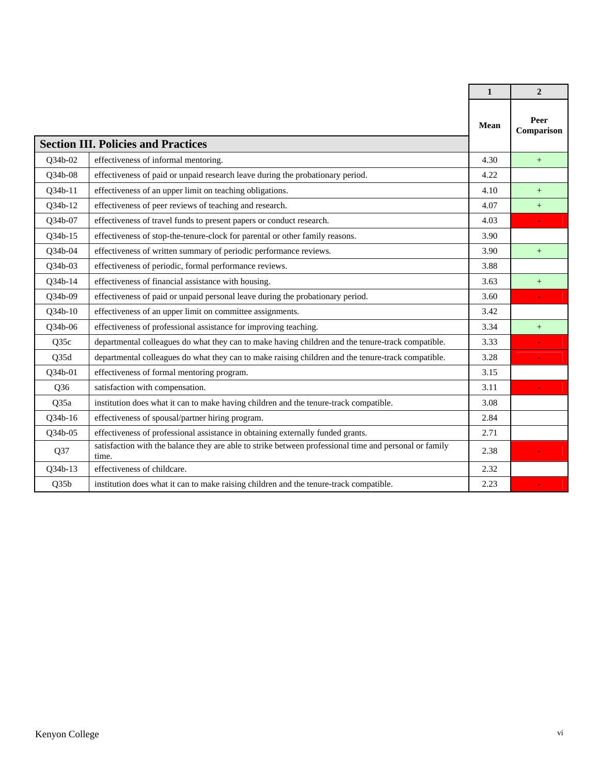|         |                                                                                                                 | $\mathbf{1}$ | $\overline{2}$     |
|---------|-----------------------------------------------------------------------------------------------------------------|--------------|--------------------|
|         | <b>Section III. Policies and Practices</b>                                                                      | Mean         | Peer<br>Comparison |
| O34b-02 | effectiveness of informal mentoring.                                                                            | 4.30         | $^{+}$             |
| Q34b-08 | effectiveness of paid or unpaid research leave during the probationary period.                                  | 4.22         |                    |
| Q34b-11 | effectiveness of an upper limit on teaching obligations.                                                        | 4.10         | $+$                |
| Q34b-12 | effectiveness of peer reviews of teaching and research.                                                         | 4.07         | $+$                |
| Q34b-07 | effectiveness of travel funds to present papers or conduct research.                                            | 4.03         |                    |
| Q34b-15 | effectiveness of stop-the-tenure-clock for parental or other family reasons.                                    | 3.90         |                    |
| Q34b-04 | effectiveness of written summary of periodic performance reviews.                                               | 3.90         | $^{+}$             |
| Q34b-03 | effectiveness of periodic, formal performance reviews.                                                          | 3.88         |                    |
| Q34b-14 | effectiveness of financial assistance with housing.                                                             | 3.63         | $+$                |
| Q34b-09 | effectiveness of paid or unpaid personal leave during the probationary period.                                  | 3.60         |                    |
| Q34b-10 | effectiveness of an upper limit on committee assignments.                                                       | 3.42         |                    |
| O34b-06 | effectiveness of professional assistance for improving teaching.                                                | 3.34         | $^{+}$             |
| Q35c    | departmental colleagues do what they can to make having children and the tenure-track compatible.               | 3.33         |                    |
| Q35d    | departmental colleagues do what they can to make raising children and the tenure-track compatible.              | 3.28         |                    |
| Q34b-01 | effectiveness of formal mentoring program.                                                                      | 3.15         |                    |
| Q36     | satisfaction with compensation.                                                                                 | 3.11         |                    |
| Q35a    | institution does what it can to make having children and the tenure-track compatible.                           | 3.08         |                    |
| Q34b-16 | effectiveness of spousal/partner hiring program.                                                                | 2.84         |                    |
| Q34b-05 | effectiveness of professional assistance in obtaining externally funded grants.                                 | 2.71         |                    |
| Q37     | satisfaction with the balance they are able to strike between professional time and personal or family<br>time. | 2.38         |                    |
| Q34b-13 | effectiveness of childcare.                                                                                     | 2.32         |                    |
| Q35b    | institution does what it can to make raising children and the tenure-track compatible.                          | 2.23         |                    |

 $\mathbf{r}$ 

h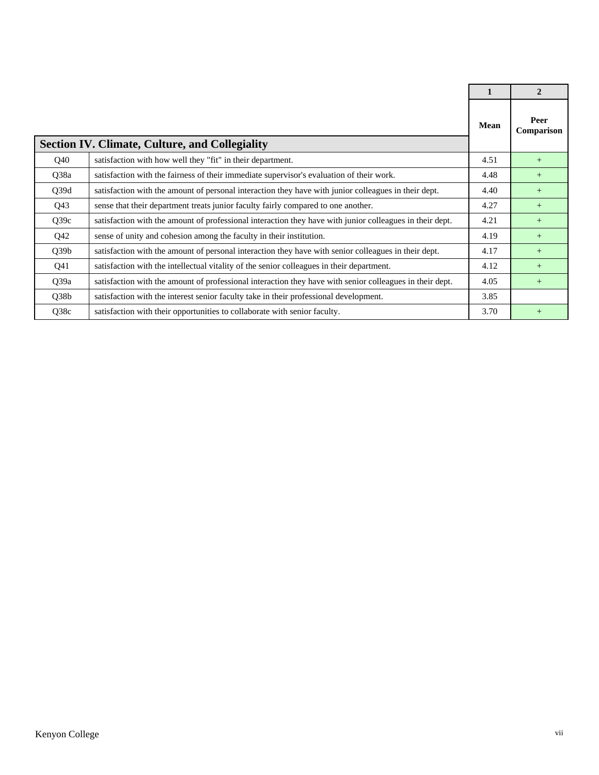|                 |                                                                                                          | $\mathbf{1}$ | $\mathbf{2}$       |
|-----------------|----------------------------------------------------------------------------------------------------------|--------------|--------------------|
|                 | <b>Section IV. Climate, Culture, and Collegiality</b>                                                    | <b>Mean</b>  | Peer<br>Comparison |
| Q40             | satisfaction with how well they "fit" in their department.                                               | 4.51         | $+$                |
| Q38a            | satisfaction with the fairness of their immediate supervisor's evaluation of their work.                 | 4.48         | $^{+}$             |
| Q39d            | satisfaction with the amount of personal interaction they have with junior colleagues in their dept.     | 4.40         | $+$                |
| Q <sub>43</sub> | sense that their department treats junior faculty fairly compared to one another.                        | 4.27         | $+$                |
| Q39c            | satisfaction with the amount of professional interaction they have with junior colleagues in their dept. | 4.21         | $+$                |
| Q42             | sense of unity and cohesion among the faculty in their institution.                                      | 4.19         | $+$                |
| Q39b            | satisfaction with the amount of personal interaction they have with senior colleagues in their dept.     | 4.17         | $+$                |
| Q41             | satisfaction with the intellectual vitality of the senior colleagues in their department.                | 4.12         | $+$                |
| Q39a            | satisfaction with the amount of professional interaction they have with senior colleagues in their dept. | 4.05         | $+$                |
| Q38b            | satisfaction with the interest senior faculty take in their professional development.                    | 3.85         |                    |
| Q38c            | satisfaction with their opportunities to collaborate with senior faculty.                                | 3.70         | $+$                |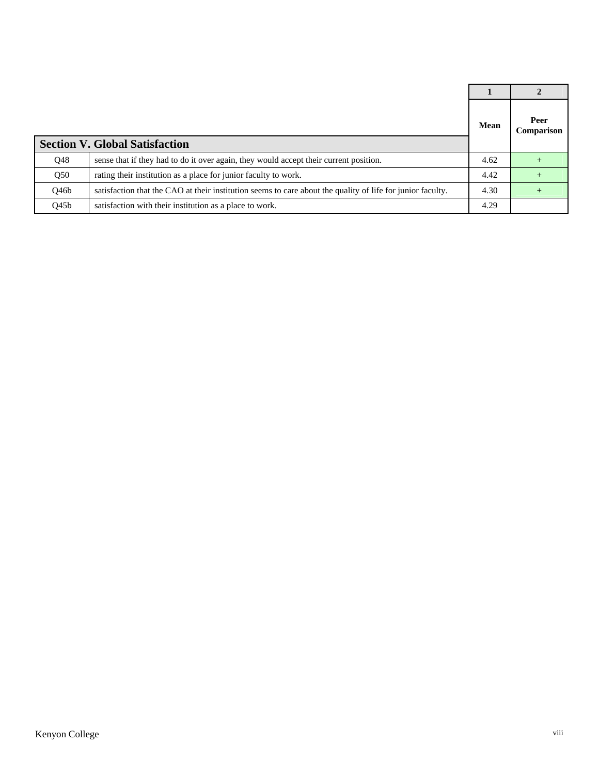|                  |                                                                                                            | <b>Mean</b> | Peer<br>Comparison |
|------------------|------------------------------------------------------------------------------------------------------------|-------------|--------------------|
|                  | <b>Section V. Global Satisfaction</b>                                                                      |             |                    |
| Q48              | sense that if they had to do it over again, they would accept their current position.                      | 4.62        |                    |
| Q50              | rating their institution as a place for junior faculty to work.                                            | 4.42        |                    |
| Q46b             | satisfaction that the CAO at their institution seems to care about the quality of life for junior faculty. | 4.30        |                    |
| Q45 <sub>b</sub> | satisfaction with their institution as a place to work.                                                    | 4.29        |                    |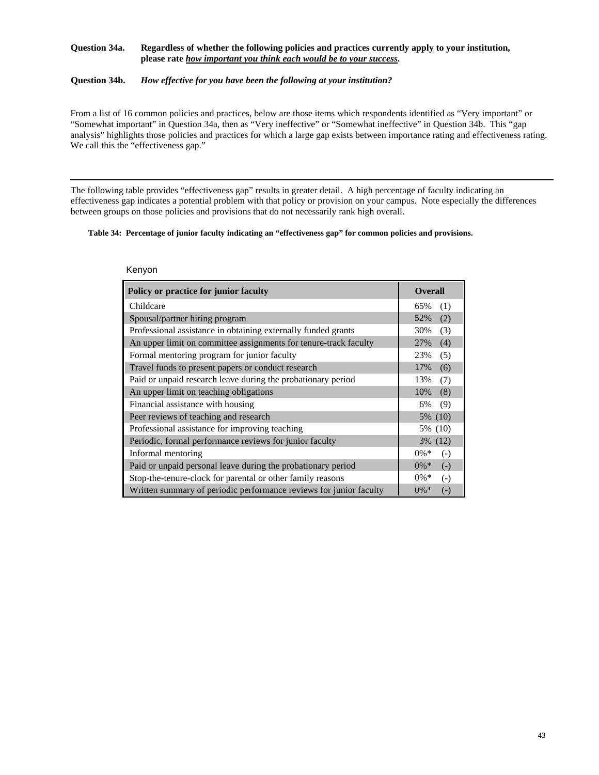#### **Question 34a. Regardless of whether the following policies and practices currently apply to your institution, please rate** *how important you think each would be to your success***.**

### **Question 34b.** *How effective for you have been the following at your institution?*

From a list of 16 common policies and practices, below are those items which respondents identified as "Very important" or "Somewhat important" in Question 34a, then as "Very ineffective" or "Somewhat ineffective" in Question 34b. This "gap analysis" highlights those policies and practices for which a large gap exists between importance rating and effectiveness rating. We call this the "effectiveness gap."

The following table provides "effectiveness gap" results in greater detail. A high percentage of faculty indicating an effectiveness gap indicates a potential problem with that policy or provision on your campus. Note especially the differences between groups on those policies and provisions that do not necessarily rank high overall.

#### **Table 34: Percentage of junior faculty indicating an "effectiveness gap" for common policies and provisions.**

| Policy or practice for junior faculty                              | <b>Overall</b>               |
|--------------------------------------------------------------------|------------------------------|
| Childcare                                                          | 65%<br>(1)                   |
| Spousal/partner hiring program                                     | 52%<br>(2)                   |
| Professional assistance in obtaining externally funded grants      | 30%<br>(3)                   |
| An upper limit on committee assignments for tenure-track faculty   | (4)<br>27%                   |
| Formal mentoring program for junior faculty                        | 23%<br>(5)                   |
| Travel funds to present papers or conduct research                 | 17%<br>(6)                   |
| Paid or unpaid research leave during the probationary period       | 13%<br>(7)                   |
| An upper limit on teaching obligations                             | 10%<br>(8)                   |
| Financial assistance with housing                                  | (9)<br>6%                    |
| Peer reviews of teaching and research                              | 5% (10)                      |
| Professional assistance for improving teaching                     | 5% (10)                      |
| Periodic, formal performance reviews for junior faculty            | 3% (12)                      |
| Informal mentoring                                                 | $0\% *$<br>$(-)$             |
| Paid or unpaid personal leave during the probationary period       | $0\% *$<br>$(-)$             |
| Stop-the-tenure-clock for parental or other family reasons         | $0\% *$<br>$\left( -\right)$ |
| Written summary of periodic performance reviews for junior faculty | $0\% *$<br>$\left( -\right)$ |

Kenyon